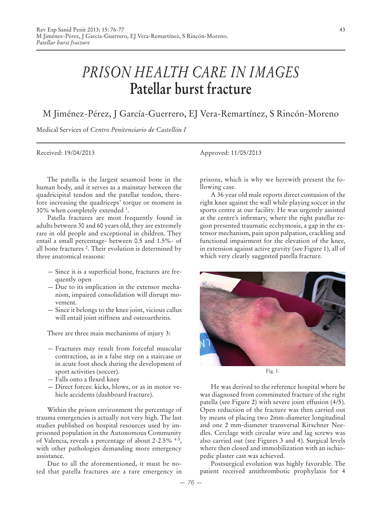## *PRISON HEALTH CARE IN IMAGES* **Patellar burst fracture**

## M Jiménez-Pérez, J García-Guerrero, EJ Vera-Remartínez, S Rincón-Moreno

Medical Services of *Centro Penitenciario de Castellón I*

The patella is the largest sesamoid bone in the human body, and it serves as a mainstay between the quadricipital tendon and the patellar tendon, therefore increasing the quadriceps' torque or moment in 30% when completely extended 1 .

Patella fractures are most frequently found in adults between 30 and 60 years old, they are extremely rare in old people and exceptional in children. They entail a small percentage- between 0.5 and 1.5%- of all bone fractures 2 . Their evolution is determined by three anatomical reasons:

- Since it is a superficial bone, fractures are frequently open
- Due to its implication in the extensor mechanism, impaired consolidation will disrupt movement.
- Since it belongs to the knee joint, vicious callus will entail joint stiffness and osteoarthritis.

There are three main mechanisms of injury 3:

- Fractures may result from forceful muscular contraction, as in a false step on a staircase or in acute foot shock during the development of sport activities (soccer).
- Falls onto a flexed knee
- Direct forces: kicks, blows, or as in motor vehicle accidents (dashboard fracture).

Within the prison environment the percentage of trauma emergencies is actually not very high. The last studies published on hospital resources used by imprisoned population in the Autonomous Community of Valencia, reveals a percentage of about 2-2.5% 4-5, with other pathologies demanding more emergency assistance.

Due to all the aforementioned, it must be noted that patella fractures are a rare emergency in

Received: 19/04/2013 Approved: 11/05/2013

prisons, which is why we herewith present the following case.

A 36 year old male reports direct contusion of the right knee against the wall while playing soccer in the sports centre at our facility. He was urgently assisted at the centre's infirmary, where the right patellar region presented traumatic ecchymosis, a gap in the extensor mechanism, pain upon palpation, crackling and functional impairment for the elevation of the knee, in extension against active gravity (see Figure 1), all of which very clearly suggested patella fracture.



Fig. 1.

He was derived to the reference hospital where he was diagnosed from comminuted fracture of the right patella (see Figure 2) with severe joint effusion (4/5). Open reduction of the fracture was then carried out by means of placing two 2mm-diameter longitudinal and one 2 mm-diameter transversal Kirschner Needles. Cerclage with circular wire and lag screws was also carried out (see Figures 3 and 4). Surgical levels where then closed and immobilization with an ischiopedic plaster cast was achieved.

Postsurgical evolution was highly favorable. The patient received antithrombotic prophylaxis for 4